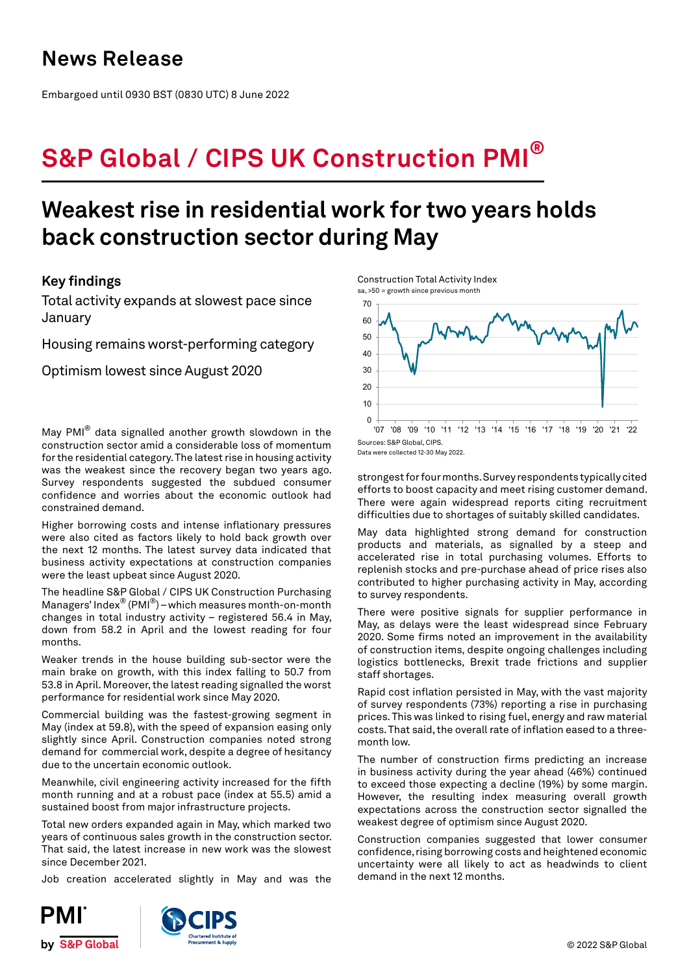# **News Release**

Embargoed until 0930 BST (0830 UTC) 8 June 2022

# **S&P Global / CIPS UK Construction PMI®**

# **Weakest rise in residential work for two years holds back construction sector during May**

# **Key findings**

Total activity expands at slowest pace since January

Housing remains worst-performing category

Optimism lowest since August 2020

May PMI® data signalled another growth slowdown in the construction sector amid a considerable loss of momentum for the residential category. The latest rise in housing activity was the weakest since the recovery began two years ago. Survey respondents suggested the subdued consumer confidence and worries about the economic outlook had constrained demand.

Higher borrowing costs and intense inflationary pressures were also cited as factors likely to hold back growth over the next 12 months. The latest survey data indicated that business activity expectations at construction companies were the least upbeat since August 2020.

The headline S&P Global / CIPS UK Construction Purchasing Managers' Index® (PMI®) – which measures month-on-month changes in total industry activity – registered 56.4 in May, down from 58.2 in April and the lowest reading for four months.

Weaker trends in the house building sub-sector were the main brake on growth, with this index falling to 50.7 from 53.8 in April. Moreover, the latest reading signalled the worst performance for residential work since May 2020.

Commercial building was the fastest-growing segment in May (index at 59.8), with the speed of expansion easing only slightly since April. Construction companies noted strong demand for commercial work, despite a degree of hesitancy due to the uncertain economic outlook.

Meanwhile, civil engineering activity increased for the fifth month running and at a robust pace (index at 55.5) amid a sustained boost from major infrastructure projects.

Total new orders expanded again in May, which marked two years of continuous sales growth in the construction sector. That said, the latest increase in new work was the slowest since December 2021.

Job creation accelerated slightly in May and was the









Data were collected 12-30 May 2022.

strongest for four months. Survey respondents typically cited efforts to boost capacity and meet rising customer demand. There were again widespread reports citing recruitment difficulties due to shortages of suitably skilled candidates.

May data highlighted strong demand for construction products and materials, as signalled by a steep and accelerated rise in total purchasing volumes. Efforts to replenish stocks and pre-purchase ahead of price rises also contributed to higher purchasing activity in May, according to survey respondents.

There were positive signals for supplier performance in May, as delays were the least widespread since February 2020. Some firms noted an improvement in the availability of construction items, despite ongoing challenges including logistics bottlenecks, Brexit trade frictions and supplier staff shortages.

Rapid cost inflation persisted in May, with the vast majority of survey respondents (73%) reporting a rise in purchasing prices. This was linked to rising fuel, energy and raw material costs. That said, the overall rate of inflation eased to a threemonth low.

The number of construction firms predicting an increase in business activity during the year ahead (46%) continued to exceed those expecting a decline (19%) by some margin. However, the resulting index measuring overall growth expectations across the construction sector signalled the weakest degree of optimism since August 2020.

Construction companies suggested that lower consumer confidence, rising borrowing costs and heightened economic uncertainty were all likely to act as headwinds to client demand in the next 12 months.